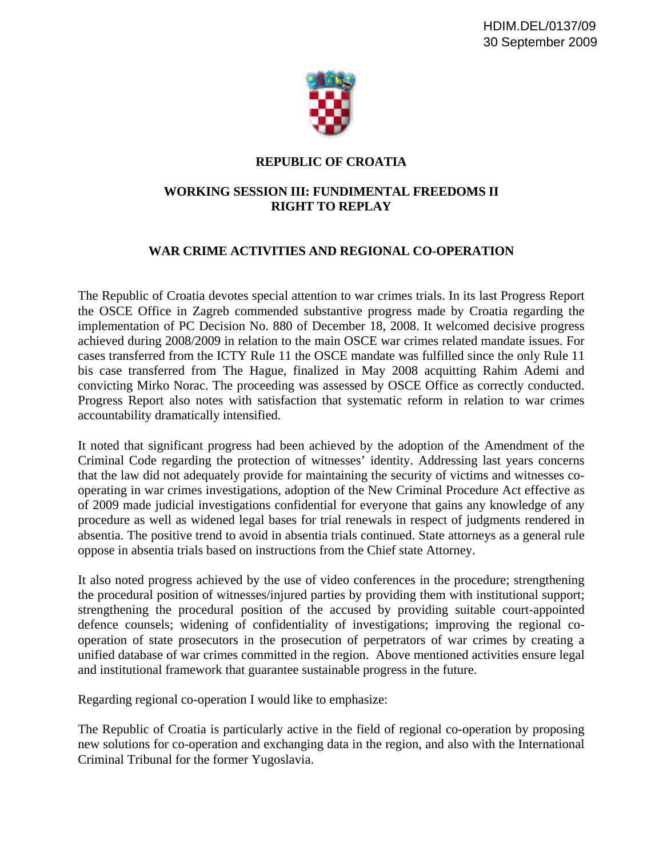

## **REPUBLIC OF CROATIA**

## **WORKING SESSION III: FUNDIMENTAL FREEDOMS II RIGHT TO REPLAY**

## **WAR CRIME ACTIVITIES AND REGIONAL CO-OPERATION**

The Republic of Croatia devotes special attention to war crimes trials. In its last Progress Report the OSCE Office in Zagreb commended substantive progress made by Croatia regarding the implementation of PC Decision No. 880 of December 18, 2008. It welcomed decisive progress achieved during 2008/2009 in relation to the main OSCE war crimes related mandate issues. For cases transferred from the ICTY Rule 11 the OSCE mandate was fulfilled since the only Rule 11 bis case transferred from The Hague, finalized in May 2008 acquitting Rahim Ademi and convicting Mirko Norac. The proceeding was assessed by OSCE Office as correctly conducted. Progress Report also notes with satisfaction that systematic reform in relation to war crimes accountability dramatically intensified.

It noted that significant progress had been achieved by the adoption of the Amendment of the Criminal Code regarding the protection of witnesses' identity. Addressing last years concerns that the law did not adequately provide for maintaining the security of victims and witnesses cooperating in war crimes investigations, adoption of the New Criminal Procedure Act effective as of 2009 made judicial investigations confidential for everyone that gains any knowledge of any procedure as well as widened legal bases for trial renewals in respect of judgments rendered in absentia. The positive trend to avoid in absentia trials continued. State attorneys as a general rule oppose in absentia trials based on instructions from the Chief state Attorney.

It also noted progress achieved by the use of video conferences in the procedure; strengthening the procedural position of witnesses/injured parties by providing them with institutional support; strengthening the procedural position of the accused by providing suitable court-appointed defence counsels; widening of confidentiality of investigations; improving the regional cooperation of state prosecutors in the prosecution of perpetrators of war crimes by creating a unified database of war crimes committed in the region. Above mentioned activities ensure legal and institutional framework that guarantee sustainable progress in the future.

Regarding regional co-operation I would like to emphasize:

The Republic of Croatia is particularly active in the field of regional co-operation by proposing new solutions for co-operation and exchanging data in the region, and also with the International Criminal Tribunal for the former Yugoslavia.